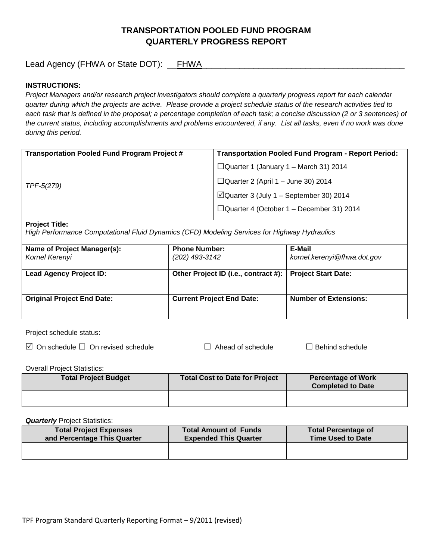# **TRANSPORTATION POOLED FUND PROGRAM QUARTERLY PROGRESS REPORT**

Lead Agency (FHWA or State DOT): \_\_FHWA\_\_\_\_\_\_\_\_\_\_\_\_\_\_\_\_\_\_\_\_\_\_\_\_\_\_\_\_\_\_\_\_\_\_\_\_\_\_\_\_\_\_\_

# **INSTRUCTIONS:**

*Project Managers and/or research project investigators should complete a quarterly progress report for each calendar quarter during which the projects are active. Please provide a project schedule status of the research activities tied to*  each task that is defined in the proposal; a percentage completion of each task; a concise discussion (2 or 3 sentences) of *the current status, including accomplishments and problems encountered, if any. List all tasks, even if no work was done during this period.*

| <b>Transportation Pooled Fund Program Project #</b> | <b>Transportation Pooled Fund Program - Report Period:</b> |
|-----------------------------------------------------|------------------------------------------------------------|
| TPF-5(279)                                          | $\Box$ Quarter 1 (January 1 – March 31) 2014               |
|                                                     | $\Box$ Quarter 2 (April 1 – June 30) 2014                  |
|                                                     | $\Box$ Quarter 3 (July 1 – September 30) 2014              |
|                                                     | $\Box$ Quarter 4 (October 1 – December 31) 2014            |
|                                                     |                                                            |

### **Project Title:**

*High Performance Computational Fluid Dynamics (CFD) Modeling Services for Highway Hydraulics*

| Name of Project Manager(s):<br>Kornel Kerenyi | <b>Phone Number:</b><br>(202) 493-3142 | E-Mail<br>kornel.kerenyi@fhwa.dot.gov |
|-----------------------------------------------|----------------------------------------|---------------------------------------|
| <b>Lead Agency Project ID:</b>                | Other Project ID (i.e., contract #):   | <b>Project Start Date:</b>            |
| <b>Original Project End Date:</b>             | <b>Current Project End Date:</b>       | <b>Number of Extensions:</b>          |

Project schedule status:

On schedule □ On revised schedule □ Ahead of schedule □ Behind schedule

Overall Project Statistics:

| <b>Total Project Budget</b> | Total Cost to Date for Project | <b>Percentage of Work</b><br><b>Completed to Date</b> |
|-----------------------------|--------------------------------|-------------------------------------------------------|
|                             |                                |                                                       |

**Quarterly** Project Statistics:

| <b>Total Project Expenses</b><br>and Percentage This Quarter | <b>Total Amount of Funds</b><br><b>Expended This Quarter</b> | <b>Total Percentage of</b><br><b>Time Used to Date</b> |
|--------------------------------------------------------------|--------------------------------------------------------------|--------------------------------------------------------|
|                                                              |                                                              |                                                        |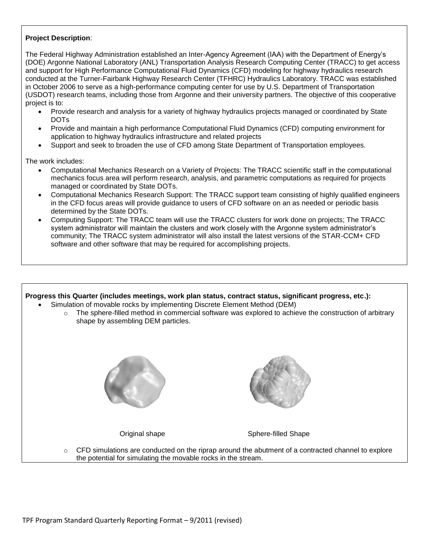# **Project Description**:

The Federal Highway Administration established an Inter-Agency Agreement (IAA) with the Department of Energy's (DOE) Argonne National Laboratory (ANL) Transportation Analysis Research Computing Center (TRACC) to get access and support for High Performance Computational Fluid Dynamics (CFD) modeling for highway hydraulics research conducted at the Turner-Fairbank Highway Research Center (TFHRC) Hydraulics Laboratory. TRACC was established in October 2006 to serve as a high-performance computing center for use by U.S. Department of Transportation (USDOT) research teams, including those from Argonne and their university partners. The objective of this cooperative project is to:

- Provide research and analysis for a variety of highway hydraulics projects managed or coordinated by State DOTs
- Provide and maintain a high performance Computational Fluid Dynamics (CFD) computing environment for application to highway hydraulics infrastructure and related projects
- Support and seek to broaden the use of CFD among State Department of Transportation employees.

The work includes:

- Computational Mechanics Research on a Variety of Projects: The TRACC scientific staff in the computational mechanics focus area will perform research, analysis, and parametric computations as required for projects managed or coordinated by State DOTs.
- Computational Mechanics Research Support: The TRACC support team consisting of highly qualified engineers in the CFD focus areas will provide guidance to users of CFD software on an as needed or periodic basis determined by the State DOTs.
- Computing Support: The TRACC team will use the TRACC clusters for work done on projects; The TRACC system administrator will maintain the clusters and work closely with the Argonne system administrator's community; The TRACC system administrator will also install the latest versions of the STAR-CCM+ CFD software and other software that may be required for accomplishing projects.

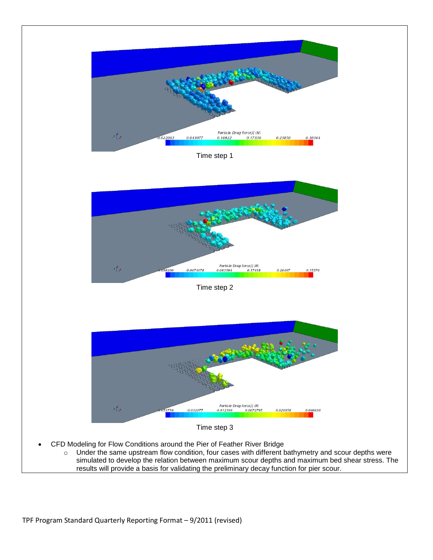

results will provide a basis for validating the preliminary decay function for pier scour.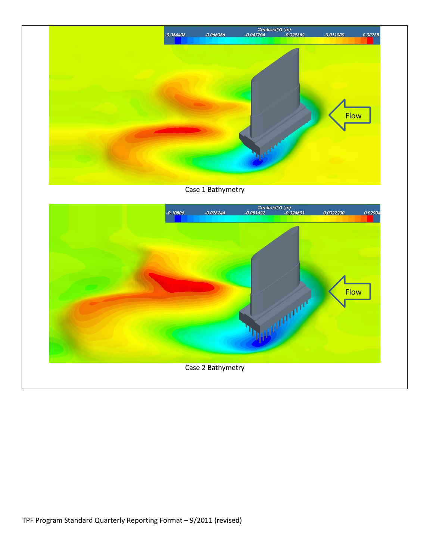

# Case 1 Bathymetry

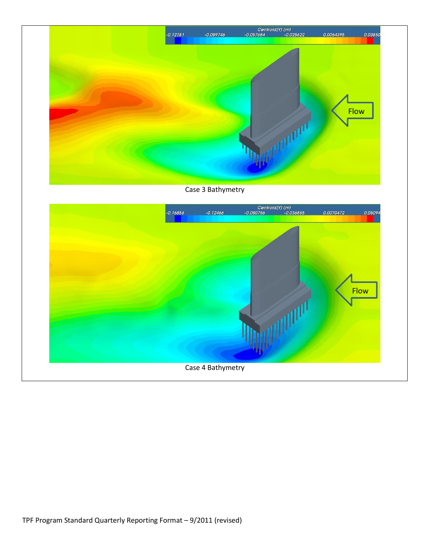

Case 3 Bathymetry

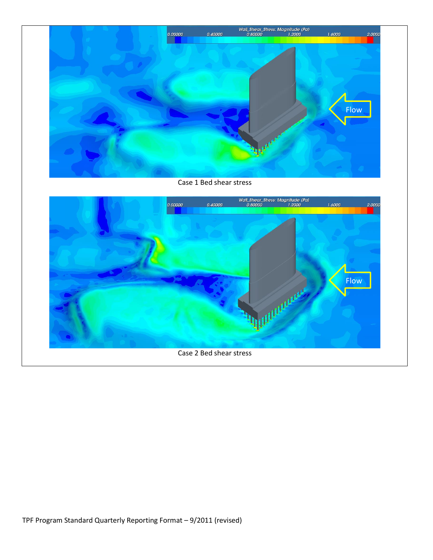

Case 1 Bed shear stress

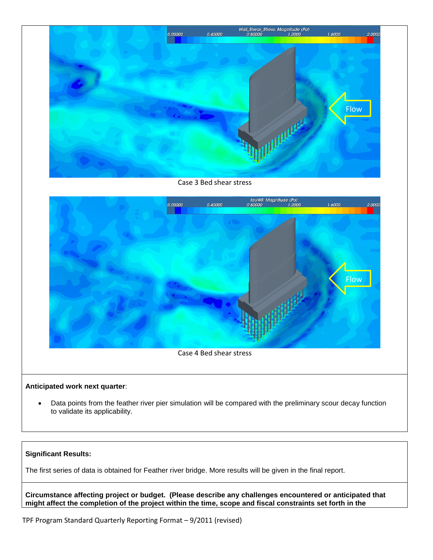

Case 3 Bed shear stress



### **Anticipated work next quarter**:

 Data points from the feather river pier simulation will be compared with the preliminary scour decay function to validate its applicability.

#### **Significant Results:**

The first series of data is obtained for Feather river bridge. More results will be given in the final report.

**Circumstance affecting project or budget. (Please describe any challenges encountered or anticipated that might affect the completion of the project within the time, scope and fiscal constraints set forth in the** 

TPF Program Standard Quarterly Reporting Format – 9/2011 (revised)